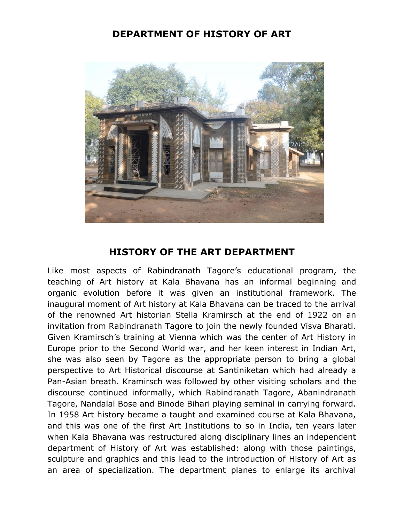## **DEPARTMENT OF HISTORY OF ART**



## **HISTORY OF THE ART DEPARTMENT**

Like most aspects of Rabindranath Tagore's educational program, the teaching of Art history at Kala Bhavana has an informal beginning and organic evolution before it was given an institutional framework. The inaugural moment of Art history at Kala Bhavana can be traced to the arrival of the renowned Art historian Stella Kramirsch at the end of 1922 on an invitation from Rabindranath Tagore to join the newly founded Visva Bharati. Given Kramirsch's training at Vienna which was the center of Art History in Europe prior to the Second World war, and her keen interest in Indian Art, she was also seen by Tagore as the appropriate person to bring a global perspective to Art Historical discourse at Santiniketan which had already a Pan-Asian breath. Kramirsch was followed by other visiting scholars and the discourse continued informally, which Rabindranath Tagore, Abanindranath Tagore, Nandalal Bose and Binode Bihari playing seminal in carrying forward. In 1958 Art history became a taught and examined course at Kala Bhavana, and this was one of the first Art Institutions to so in India, ten years later when Kala Bhavana was restructured along disciplinary lines an independent department of History of Art was established: along with those paintings, sculpture and graphics and this lead to the introduction of History of Art as an area of specialization. The department planes to enlarge its archival